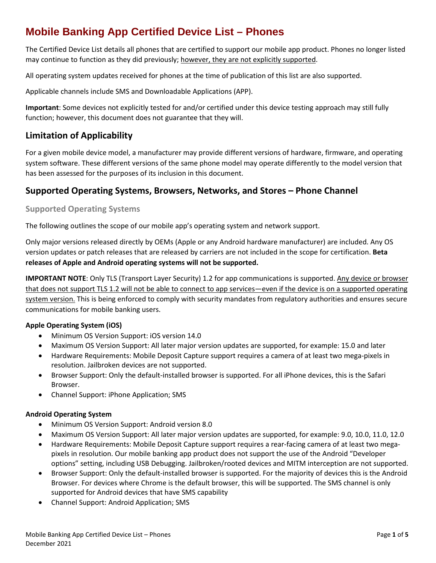# **Mobile Banking App Certified Device List – Phones**

The Certified Device List details all phones that are certified to support our mobile app product. Phones no longer listed may continue to function as they did previously; however, they are not explicitly supported.

All operating system updates received for phones at the time of publication of this list are also supported.

Applicable channels include SMS and Downloadable Applications (APP).

**Important**: Some devices not explicitly tested for and/or certified under this device testing approach may still fully function; however, this document does not guarantee that they will.

### **Limitation of Applicability**

For a given mobile device model, a manufacturer may provide different versions of hardware, firmware, and operating system software. These different versions of the same phone model may operate differently to the model version that has been assessed for the purposes of its inclusion in this document.

### **Supported Operating Systems, Browsers, Networks, and Stores – Phone Channel**

#### **Supported Operating Systems**

The following outlines the scope of our mobile app's operating system and network support.

Only major versions released directly by OEMs (Apple or any Android hardware manufacturer) are included. Any OS version updates or patch releases that are released by carriers are not included in the scope for certification. **Beta releases of Apple and Android operating systems will not be supported.**

**IMPORTANT NOTE**: Only TLS (Transport Layer Security) 1.2 for app communications is supported. Any device or browser that does not support TLS 1.2 will not be able to connect to app services—even if the device is on a supported operating system version. This is being enforced to comply with security mandates from regulatory authorities and ensures secure communications for mobile banking users.

#### **Apple Operating System (iOS)**

- Minimum OS Version Support: iOS version 14.0
- Maximum OS Version Support: All later major version updates are supported, for example: 15.0 and later
- Hardware Requirements: Mobile Deposit Capture support requires a camera of at least two mega-pixels in resolution. Jailbroken devices are not supported.
- Browser Support: Only the default-installed browser is supported. For all iPhone devices, this is the Safari Browser.
- Channel Support: iPhone Application; SMS

#### **Android Operating System**

- Minimum OS Version Support: Android version 8.0
- Maximum OS Version Support: All later major version updates are supported, for example: 9.0, 10.0, 11.0, 12.0
- Hardware Requirements: Mobile Deposit Capture support requires a rear-facing camera of at least two megapixels in resolution. Our mobile banking app product does not support the use of the Android "Developer options" setting, including USB Debugging. Jailbroken/rooted devices and MITM interception are not supported.
- Browser Support: Only the default-installed browser is supported. For the majority of devices this is the Android Browser. For devices where Chrome is the default browser, this will be supported. The SMS channel is only supported for Android devices that have SMS capability
- Channel Support: Android Application; SMS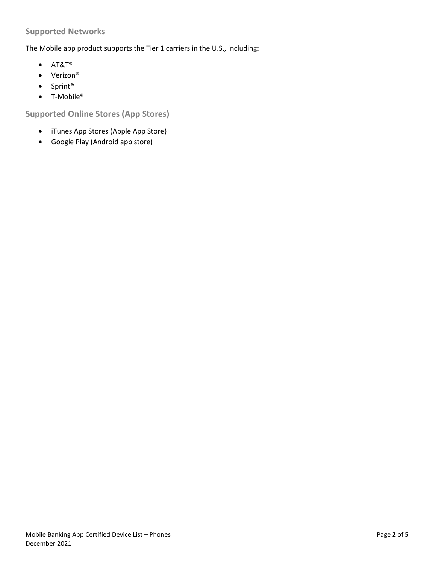#### **Supported Networks**

The Mobile app product supports the Tier 1 carriers in the U.S., including:

- AT&T®
- Verizon®
- Sprint®
- T-Mobile®

**Supported Online Stores (App Stores)**

- iTunes App Stores (Apple App Store)
- Google Play (Android app store)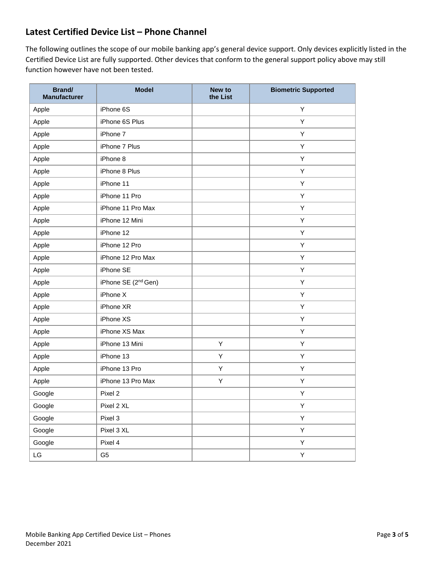## **Latest Certified Device List – Phone Channel**

The following outlines the scope of our mobile banking app's general device support. Only devices explicitly listed in the Certified Device List are fully supported. Other devices that conform to the general support policy above may still function however have not been tested.

| <b>Brand/</b><br><b>Manufacturer</b> | <b>Model</b>                    | New to<br>the List | <b>Biometric Supported</b> |
|--------------------------------------|---------------------------------|--------------------|----------------------------|
| Apple                                | iPhone 6S                       |                    | Υ                          |
| Apple                                | iPhone 6S Plus                  |                    | Υ                          |
| Apple                                | iPhone 7                        |                    | Υ                          |
| Apple                                | iPhone 7 Plus                   |                    | Υ                          |
| Apple                                | iPhone 8                        |                    | Υ                          |
| Apple                                | iPhone 8 Plus                   |                    | Y                          |
| Apple                                | iPhone 11                       |                    | Υ                          |
| Apple                                | iPhone 11 Pro                   |                    | Υ                          |
| Apple                                | iPhone 11 Pro Max               |                    | Υ                          |
| Apple                                | iPhone 12 Mini                  |                    | Υ                          |
| Apple                                | iPhone 12                       |                    | Υ                          |
| Apple                                | iPhone 12 Pro                   |                    | Υ                          |
| Apple                                | iPhone 12 Pro Max               |                    | Υ                          |
| Apple                                | iPhone SE                       |                    | Υ                          |
| Apple                                | iPhone SE (2 <sup>nd</sup> Gen) |                    | Y                          |
| Apple                                | iPhone X                        |                    | Υ                          |
| Apple                                | iPhone XR                       |                    | Υ                          |
| Apple                                | iPhone XS                       |                    | Υ                          |
| Apple                                | iPhone XS Max                   |                    | Υ                          |
| Apple                                | iPhone 13 Mini                  | Υ                  | Υ                          |
| Apple                                | iPhone 13                       | Υ                  | Υ                          |
| Apple                                | iPhone 13 Pro                   | Υ                  | Υ                          |
| Apple                                | iPhone 13 Pro Max               | Υ                  | Υ                          |
| Google                               | Pixel 2                         |                    | Y                          |
| Google                               | Pixel 2 XL                      |                    | Υ                          |
| Google                               | Pixel 3                         |                    | Υ                          |
| Google                               | Pixel 3 XL                      |                    | Y                          |
| Google                               | Pixel 4                         |                    | Y                          |
| $\mathsf{L}\mathsf{G}$               | G <sub>5</sub>                  |                    | Y                          |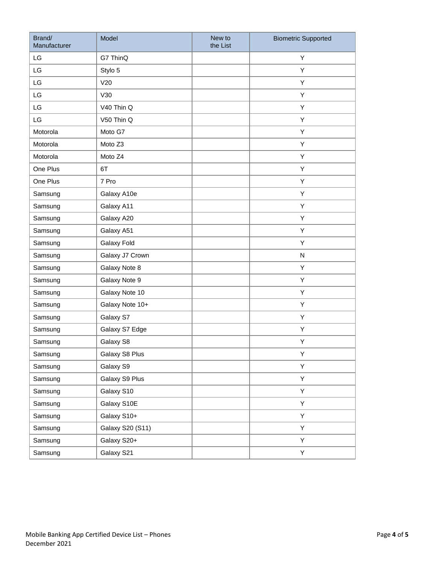| Brand/<br>Manufacturer | Model            | New to<br>the List | <b>Biometric Supported</b> |
|------------------------|------------------|--------------------|----------------------------|
| LG                     | G7 ThinQ         |                    | Υ                          |
| LG                     | Stylo 5          |                    | Υ                          |
| LG                     | V20              |                    | Υ                          |
| LG                     | V30              |                    | Υ                          |
| LG                     | V40 Thin Q       |                    | Υ                          |
| LG                     | V50 Thin Q       |                    | Υ                          |
| Motorola               | Moto G7          |                    | Υ                          |
| Motorola               | Moto Z3          |                    | Υ                          |
| Motorola               | Moto Z4          |                    | Y                          |
| One Plus               | 6T               |                    | Υ                          |
| One Plus               | 7 Pro            |                    | Υ                          |
| Samsung                | Galaxy A10e      |                    | Υ                          |
| Samsung                | Galaxy A11       |                    | Υ                          |
| Samsung                | Galaxy A20       |                    | Υ                          |
| Samsung                | Galaxy A51       |                    | Υ                          |
| Samsung                | Galaxy Fold      |                    | Υ                          |
| Samsung                | Galaxy J7 Crown  |                    | ${\sf N}$                  |
| Samsung                | Galaxy Note 8    |                    | Y                          |
| Samsung                | Galaxy Note 9    |                    | Υ                          |
| Samsung                | Galaxy Note 10   |                    | Υ                          |
| Samsung                | Galaxy Note 10+  |                    | Υ                          |
| Samsung                | Galaxy S7        |                    | Υ                          |
| Samsung                | Galaxy S7 Edge   |                    | Υ                          |
| Samsung                | Galaxy S8        |                    | Υ                          |
| Samsung                | Galaxy S8 Plus   |                    | Υ                          |
| Samsung                | Galaxy S9        |                    | Υ                          |
| Samsung                | Galaxy S9 Plus   |                    | Y                          |
| Samsung                | Galaxy S10       |                    | Y                          |
| Samsung                | Galaxy S10E      |                    | Y                          |
| Samsung                | Galaxy S10+      |                    | Υ                          |
| Samsung                | Galaxy S20 (S11) |                    | Υ                          |
| Samsung                | Galaxy S20+      |                    | Υ                          |
| Samsung                | Galaxy S21       |                    | Υ                          |